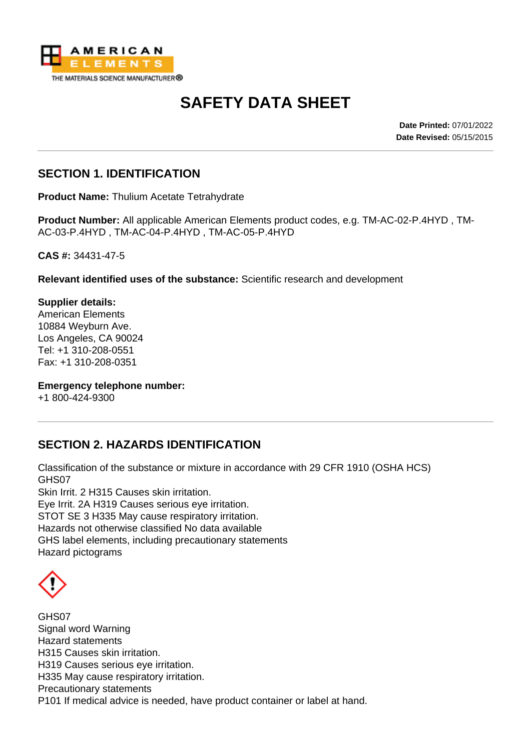

# **SAFETY DATA SHEET**

**Date Printed:** 07/01/2022 **Date Revised:** 05/15/2015

#### **SECTION 1. IDENTIFICATION**

**Product Name:** Thulium Acetate Tetrahydrate

**Product Number:** All applicable American Elements product codes, e.g. TM-AC-02-P.4HYD , TM-AC-03-P.4HYD , TM-AC-04-P.4HYD , TM-AC-05-P.4HYD

**CAS #:** 34431-47-5

**Relevant identified uses of the substance:** Scientific research and development

**Supplier details:** American Elements 10884 Weyburn Ave. Los Angeles, CA 90024 Tel: +1 310-208-0551 Fax: +1 310-208-0351

**Emergency telephone number:**

+1 800-424-9300

# **SECTION 2. HAZARDS IDENTIFICATION**

Classification of the substance or mixture in accordance with 29 CFR 1910 (OSHA HCS) GHS07 Skin Irrit. 2 H315 Causes skin irritation. Eye Irrit. 2A H319 Causes serious eye irritation. STOT SE 3 H335 May cause respiratory irritation. Hazards not otherwise classified No data available GHS label elements, including precautionary statements Hazard pictograms

GHS07 Signal word Warning Hazard statements H315 Causes skin irritation. H319 Causes serious eye irritation. H335 May cause respiratory irritation. Precautionary statements P101 If medical advice is needed, have product container or label at hand.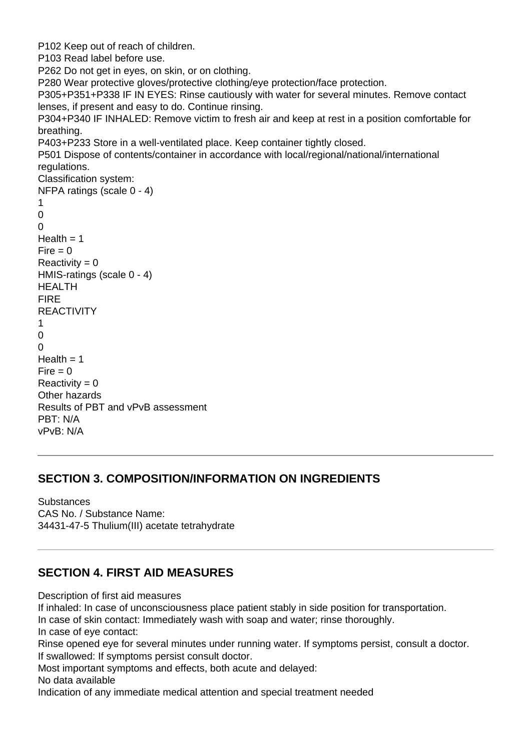```
P102 Keep out of reach of children.
P103 Read label before use.
P262 Do not get in eyes, on skin, or on clothing.
P280 Wear protective gloves/protective clothing/eye protection/face protection.
P305+P351+P338 IF IN EYES: Rinse cautiously with water for several minutes. Remove contact
lenses, if present and easy to do. Continue rinsing.
P304+P340 IF INHALED: Remove victim to fresh air and keep at rest in a position comfortable for
breathing.
P403+P233 Store in a well-ventilated place. Keep container tightly closed.
P501 Dispose of contents/container in accordance with local/regional/national/international
regulations.
Classification system:
NFPA ratings (scale 0 - 4)
1
\Omega\OmegaHealth = 1Fire = 0Reactivity = 0HMIS-ratings (scale 0 - 4)
HEALTH
FIRE
REACTIVITY
1
\Omega\OmegaHealth = 1Fire = 0Reactivity = 0Other hazards
Results of PBT and vPvB assessment
PBT: N/A
vPvB: N/A
```
#### **SECTION 3. COMPOSITION/INFORMATION ON INGREDIENTS**

**Substances** CAS No. / Substance Name: 34431-47-5 Thulium(III) acetate tetrahydrate

#### **SECTION 4. FIRST AID MEASURES**

Description of first aid measures

If inhaled: In case of unconsciousness place patient stably in side position for transportation.

In case of skin contact: Immediately wash with soap and water; rinse thoroughly.

In case of eye contact:

Rinse opened eye for several minutes under running water. If symptoms persist, consult a doctor. If swallowed: If symptoms persist consult doctor.

Most important symptoms and effects, both acute and delayed:

No data available

Indication of any immediate medical attention and special treatment needed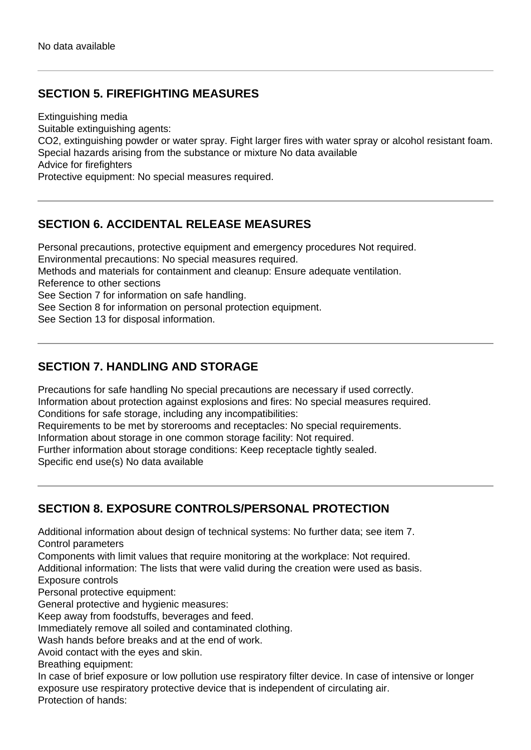# **SECTION 5. FIREFIGHTING MEASURES**

Extinguishing media

Suitable extinguishing agents:

CO2, extinguishing powder or water spray. Fight larger fires with water spray or alcohol resistant foam. Special hazards arising from the substance or mixture No data available

Advice for firefighters

Protective equipment: No special measures required.

### **SECTION 6. ACCIDENTAL RELEASE MEASURES**

Personal precautions, protective equipment and emergency procedures Not required. Environmental precautions: No special measures required.

Methods and materials for containment and cleanup: Ensure adequate ventilation.

Reference to other sections

See Section 7 for information on safe handling.

See Section 8 for information on personal protection equipment.

See Section 13 for disposal information.

# **SECTION 7. HANDLING AND STORAGE**

Precautions for safe handling No special precautions are necessary if used correctly. Information about protection against explosions and fires: No special measures required. Conditions for safe storage, including any incompatibilities:

Requirements to be met by storerooms and receptacles: No special requirements.

Information about storage in one common storage facility: Not required.

Further information about storage conditions: Keep receptacle tightly sealed.

Specific end use(s) No data available

# **SECTION 8. EXPOSURE CONTROLS/PERSONAL PROTECTION**

Additional information about design of technical systems: No further data; see item 7. Control parameters

Components with limit values that require monitoring at the workplace: Not required.

Additional information: The lists that were valid during the creation were used as basis. Exposure controls

Personal protective equipment:

General protective and hygienic measures:

Keep away from foodstuffs, beverages and feed.

Immediately remove all soiled and contaminated clothing.

Wash hands before breaks and at the end of work.

Avoid contact with the eyes and skin.

Breathing equipment:

In case of brief exposure or low pollution use respiratory filter device. In case of intensive or longer exposure use respiratory protective device that is independent of circulating air. Protection of hands: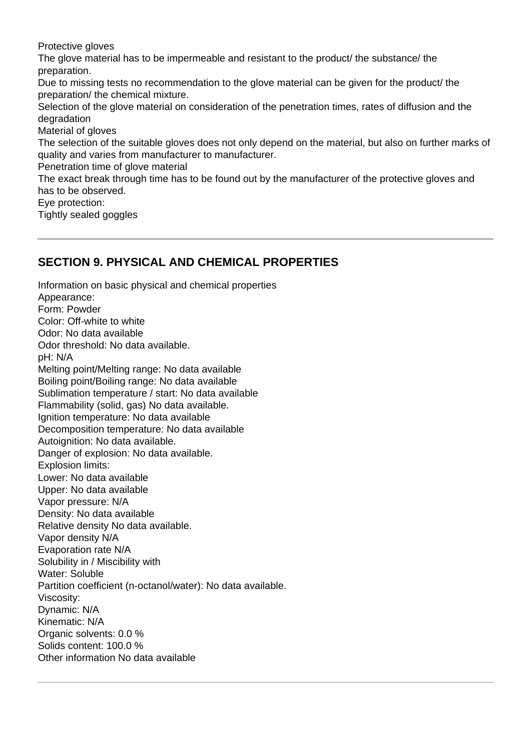Protective gloves

The glove material has to be impermeable and resistant to the product/ the substance/ the preparation.

Due to missing tests no recommendation to the glove material can be given for the product/ the preparation/ the chemical mixture.

Selection of the glove material on consideration of the penetration times, rates of diffusion and the degradation

Material of gloves

The selection of the suitable gloves does not only depend on the material, but also on further marks of quality and varies from manufacturer to manufacturer.

Penetration time of glove material

The exact break through time has to be found out by the manufacturer of the protective gloves and has to be observed.

Eye protection:

Tightly sealed goggles

#### **SECTION 9. PHYSICAL AND CHEMICAL PROPERTIES**

Information on basic physical and chemical properties Appearance: Form: Powder Color: Off-white to white Odor: No data available Odor threshold: No data available. pH: N/A Melting point/Melting range: No data available Boiling point/Boiling range: No data available Sublimation temperature / start: No data available Flammability (solid, gas) No data available. Ignition temperature: No data available Decomposition temperature: No data available Autoignition: No data available. Danger of explosion: No data available. Explosion limits: Lower: No data available Upper: No data available Vapor pressure: N/A Density: No data available Relative density No data available. Vapor density N/A Evaporation rate N/A Solubility in / Miscibility with Water: Soluble Partition coefficient (n-octanol/water): No data available. Viscosity: Dynamic: N/A Kinematic: N/A Organic solvents: 0.0 % Solids content: 100.0 % Other information No data available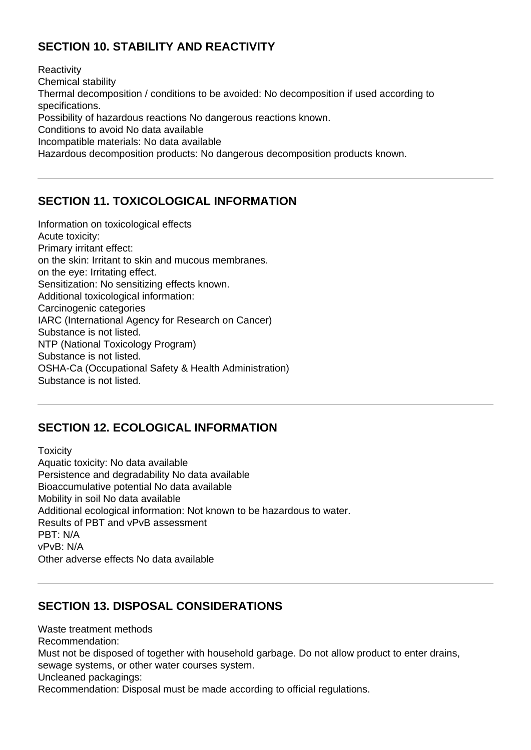# **SECTION 10. STABILITY AND REACTIVITY**

**Reactivity** Chemical stability Thermal decomposition / conditions to be avoided: No decomposition if used according to specifications. Possibility of hazardous reactions No dangerous reactions known. Conditions to avoid No data available Incompatible materials: No data available Hazardous decomposition products: No dangerous decomposition products known.

# **SECTION 11. TOXICOLOGICAL INFORMATION**

Information on toxicological effects Acute toxicity: Primary irritant effect: on the skin: Irritant to skin and mucous membranes. on the eye: Irritating effect. Sensitization: No sensitizing effects known. Additional toxicological information: Carcinogenic categories IARC (International Agency for Research on Cancer) Substance is not listed. NTP (National Toxicology Program) Substance is not listed. OSHA-Ca (Occupational Safety & Health Administration) Substance is not listed.

# **SECTION 12. ECOLOGICAL INFORMATION**

**Toxicity** Aquatic toxicity: No data available Persistence and degradability No data available Bioaccumulative potential No data available Mobility in soil No data available Additional ecological information: Not known to be hazardous to water. Results of PBT and vPvB assessment PBT: N/A vPvB: N/A Other adverse effects No data available

# **SECTION 13. DISPOSAL CONSIDERATIONS**

Waste treatment methods Recommendation: Must not be disposed of together with household garbage. Do not allow product to enter drains, sewage systems, or other water courses system. Uncleaned packagings: Recommendation: Disposal must be made according to official regulations.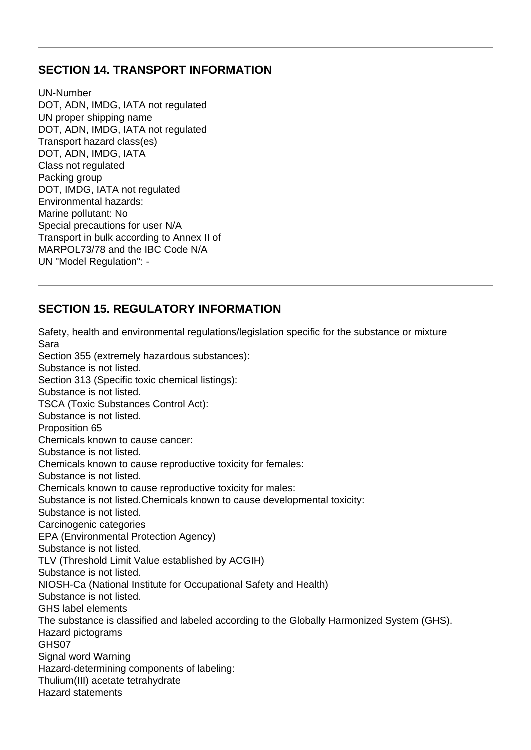#### **SECTION 14. TRANSPORT INFORMATION**

UN-Number DOT, ADN, IMDG, IATA not regulated UN proper shipping name DOT, ADN, IMDG, IATA not regulated Transport hazard class(es) DOT, ADN, IMDG, IATA Class not regulated Packing group DOT, IMDG, IATA not regulated Environmental hazards: Marine pollutant: No Special precautions for user N/A Transport in bulk according to Annex II of MARPOL73/78 and the IBC Code N/A UN "Model Regulation": -

# **SECTION 15. REGULATORY INFORMATION**

Safety, health and environmental regulations/legislation specific for the substance or mixture Sara Section 355 (extremely hazardous substances): Substance is not listed. Section 313 (Specific toxic chemical listings): Substance is not listed. TSCA (Toxic Substances Control Act): Substance is not listed. Proposition 65 Chemicals known to cause cancer: Substance is not listed. Chemicals known to cause reproductive toxicity for females: Substance is not listed. Chemicals known to cause reproductive toxicity for males: Substance is not listed.Chemicals known to cause developmental toxicity: Substance is not listed. Carcinogenic categories EPA (Environmental Protection Agency) Substance is not listed. TLV (Threshold Limit Value established by ACGIH) Substance is not listed. NIOSH-Ca (National Institute for Occupational Safety and Health) Substance is not listed. GHS label elements The substance is classified and labeled according to the Globally Harmonized System (GHS). Hazard pictograms GHS07 Signal word Warning Hazard-determining components of labeling: Thulium(III) acetate tetrahydrate Hazard statements